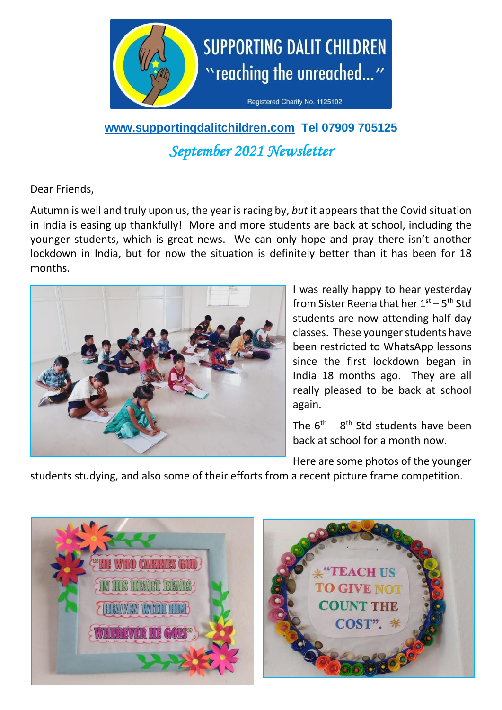

# **[www.supportingdalitchildren.com](http://www.supportingdalitchildren.com/) Tel 07909 705125** *September 2021 Newsletter*

Dear Friends,

Autumn is well and truly upon us, the year is racing by, *but* it appears that the Covid situation in India is easing up thankfully! More and more students are back at school, including the younger students, which is great news. We can only hope and pray there isn't another lockdown in India, but for now the situation is definitely better than it has been for 18 months.



I was really happy to hear yesterday from Sister Reena that her 1<sup>st</sup> – 5<sup>th</sup> Std students are now attending half day classes. These younger students have been restricted to WhatsApp lessons since the first lockdown began in India 18 months ago. They are all really pleased to be back at school again.

The  $6<sup>th</sup> - 8<sup>th</sup>$  Std students have been back at school for a month now.

Here are some photos of the younger

students studying, and also some of their efforts from a recent picture frame competition.

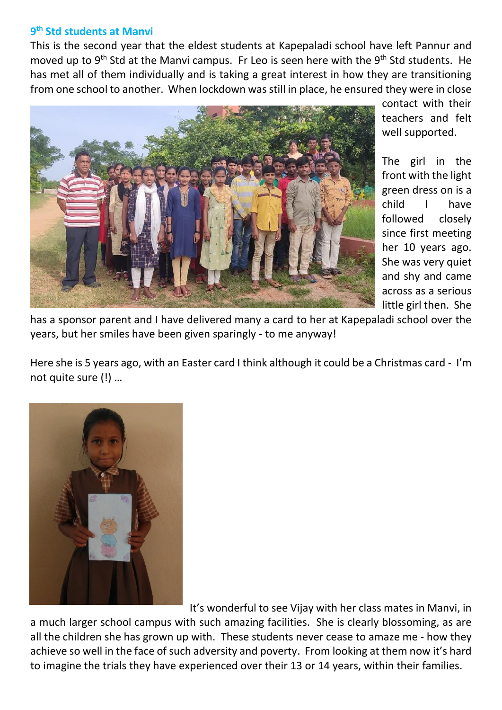#### **9 th Std students at Manvi**

This is the second year that the eldest students at Kapepaladi school have left Pannur and moved up to 9<sup>th</sup> Std at the Manvi campus. Fr Leo is seen here with the 9<sup>th</sup> Std students. He has met all of them individually and is taking a great interest in how they are transitioning from one school to another. When lockdown was still in place, he ensured they were in close



contact with their teachers and felt well supported.

The girl in the front with the light green dress on is a child I have followed closely since first meeting her 10 years ago. She was very quiet and shy and came across as a serious little girl then. She

has a sponsor parent and I have delivered many a card to her at Kapepaladi school over the years, but her smiles have been given sparingly - to me anyway!

Here she is 5 years ago, with an Easter card I think although it could be a Christmas card - I'm not quite sure (!) …



It's wonderful to see Vijay with her class mates in Manvi, in

a much larger school campus with such amazing facilities. She is clearly blossoming, as are all the children she has grown up with. These students never cease to amaze me - how they achieve so well in the face of such adversity and poverty. From looking at them now it's hard to imagine the trials they have experienced over their 13 or 14 years, within their families.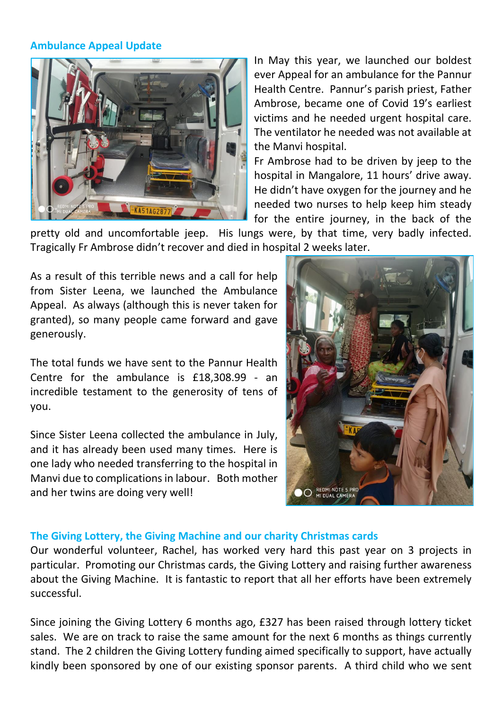#### **Ambulance Appeal Update**



In May this year, we launched our boldest ever Appeal for an ambulance for the Pannur Health Centre. Pannur's parish priest, Father Ambrose, became one of Covid 19's earliest victims and he needed urgent hospital care. The ventilator he needed was not available at the Manvi hospital.

Fr Ambrose had to be driven by jeep to the hospital in Mangalore, 11 hours' drive away. He didn't have oxygen for the journey and he needed two nurses to help keep him steady for the entire journey, in the back of the

pretty old and uncomfortable jeep. His lungs were, by that time, very badly infected. Tragically Fr Ambrose didn't recover and died in hospital 2 weeks later.

As a result of this terrible news and a call for help from Sister Leena, we launched the Ambulance Appeal. As always (although this is never taken for granted), so many people came forward and gave generously.

The total funds we have sent to the Pannur Health Centre for the ambulance is £18,308.99 - an incredible testament to the generosity of tens of you.

Since Sister Leena collected the ambulance in July, and it has already been used many times. Here is one lady who needed transferring to the hospital in Manvi due to complications in labour. Both mother and her twins are doing very well!



## **The Giving Lottery, the Giving Machine and our charity Christmas cards**

Our wonderful volunteer, Rachel, has worked very hard this past year on 3 projects in particular. Promoting our Christmas cards, the Giving Lottery and raising further awareness about the Giving Machine. It is fantastic to report that all her efforts have been extremely successful.

Since joining the Giving Lottery 6 months ago, £327 has been raised through lottery ticket sales. We are on track to raise the same amount for the next 6 months as things currently stand. The 2 children the Giving Lottery funding aimed specifically to support, have actually kindly been sponsored by one of our existing sponsor parents. A third child who we sent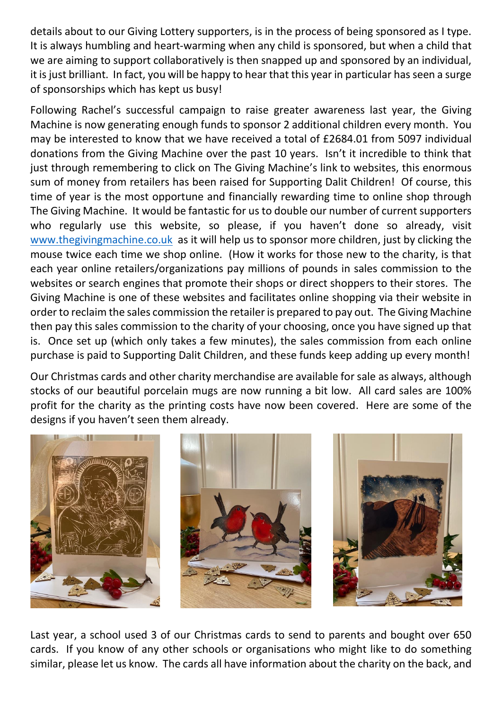details about to our Giving Lottery supporters, is in the process of being sponsored as I type. It is always humbling and heart-warming when any child is sponsored, but when a child that we are aiming to support collaboratively is then snapped up and sponsored by an individual, it is just brilliant. In fact, you will be happy to hear that this year in particular has seen a surge of sponsorships which has kept us busy!

Following Rachel's successful campaign to raise greater awareness last year, the Giving Machine is now generating enough funds to sponsor 2 additional children every month. You may be interested to know that we have received a total of £2684.01 from 5097 individual donations from the Giving Machine over the past 10 years. Isn't it incredible to think that just through remembering to click on The Giving Machine's link to websites, this enormous sum of money from retailers has been raised for Supporting Dalit Children! Of course, this time of year is the most opportune and financially rewarding time to online shop through The Giving Machine. It would be fantastic for us to double our number of current supporters who regularly use this website, so please, if you haven't done so already, visit [www.thegivingmachine.co.uk](http://www.thegivingmachine.co.uk/) as it will help us to sponsor more children, just by clicking the mouse twice each time we shop online. (How it works for those new to the charity, is that each year online retailers/organizations pay millions of pounds in sales commission to the websites or search engines that promote their shops or direct shoppers to their stores. The Giving Machine is one of these websites and facilitates online shopping via their website in order to reclaim the sales commission the retailer is prepared to pay out. The Giving Machine then pay this sales commission to the charity of your choosing, once you have signed up that is. Once set up (which only takes a few minutes), the sales commission from each online purchase is paid to Supporting Dalit Children, and these funds keep adding up every month!

Our Christmas cards and other charity merchandise are available for sale as always, although stocks of our beautiful porcelain mugs are now running a bit low. All card sales are 100% profit for the charity as the printing costs have now been covered. Here are some of the designs if you haven't seen them already.



Last year, a school used 3 of our Christmas cards to send to parents and bought over 650 cards. If you know of any other schools or organisations who might like to do something similar, please let us know. The cards all have information about the charity on the back, and